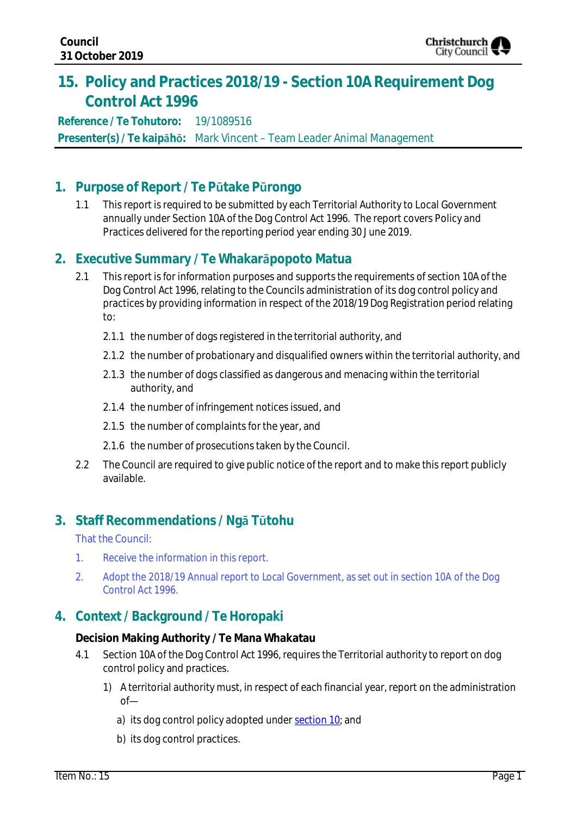

# **15. Policy and Practices 2018/19 - Section 10A Requirement Dog Control Act 1996**

**Reference / Te Tohutoro:** 19/1089516 **Presenter(s) / Te kaipāhō:** Mark Vincent – Team Leader Animal Management

### **1. Purpose of Report / Te Pūtake Pūrongo**

1.1 This report is required to be submitted by each Territorial Authority to Local Government annually under Section 10A of the Dog Control Act 1996. The report covers Policy and Practices delivered for the reporting period year ending 30 June 2019.

## **2. Executive Summary / Te Whakarāpopoto Matua**

- 2.1 This report is for information purposes and supports the requirements of section 10A of the Dog Control Act 1996, relating to the Councils administration of its dog control policy and practices by providing information in respect of the 2018/19 Dog Registration period relating to:
	- 2.1.1 the number of dogs registered in the territorial authority, and
	- 2.1.2 the number of probationary and disqualified owners within the territorial authority, and
	- 2.1.3 the number of dogs classified as dangerous and menacing within the territorial authority, and
	- 2.1.4 the number of infringement notices issued, and
	- 2.1.5 the number of complaints for the year, and
	- 2.1.6 the number of prosecutions taken by the Council.
- 2.2 The Council are required to give public notice of the report and to make this report publicly available.

## **3. Staff Recommendations / Ngā Tūtohu**

That the Council:

- 1. Receive the information in this report.
- 2. Adopt the 2018/19 Annual report to Local Government, as set out in section 10A of the Dog Control Act 1996.

## **4. Context / Background / Te Horopaki**

#### **Decision Making Authority / Te Mana Whakatau**

- 4.1 Section 10A of the Dog Control Act 1996, requires the Territorial authority to report on dog control policy and practices.
	- 1) A territorial authority must, in respect of each financial year, report on the administration of
		- a) its dog control policy adopted under [section 10;](http://www.legislation.govt.nz/act/public/1996/0013/latest/link.aspx?id=DLM374494#DLM374494) and
		- b) its dog control practices.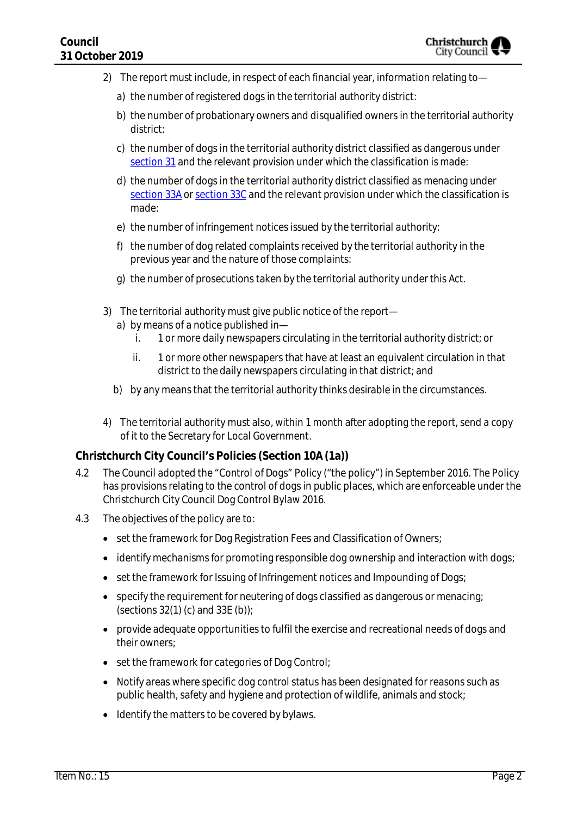- 2) The report must include, in respect of each financial year, information relating to
	- a) the number of registered dogs in the territorial authority district:
	- b) the number of probationary owners and disqualified owners in the territorial authority district:
	- c) the number of dogs in the territorial authority district classified as dangerous under [section 31](http://www.legislation.govt.nz/act/public/1996/0013/latest/link.aspx?id=DLM374887#DLM374887) and the relevant provision under which the classification is made:
	- d) the number of dogs in the territorial authority district classified as menacing under [section 33A](http://www.legislation.govt.nz/act/public/1996/0013/latest/link.aspx?id=DLM375100#DLM375100) or [section 33C](http://www.legislation.govt.nz/act/public/1996/0013/latest/link.aspx?id=DLM375107#DLM375107) and the relevant provision under which the classification is made:
	- e) the number of infringement notices issued by the territorial authority:
	- f) the number of dog related complaints received by the territorial authority in the previous year and the nature of those complaints:
	- g) the number of prosecutions taken by the territorial authority under this Act.
- 3) The territorial authority must give public notice of the report
	- a) by means of a notice published in
		- i. 1 or more daily newspapers circulating in the territorial authority district; or
		- ii. 1 or more other newspapers that have at least an equivalent circulation in that district to the daily newspapers circulating in that district; and
	- b) by any means that the territorial authority thinks desirable in the circumstances.
- 4) The territorial authority must also, within 1 month after adopting the report, send a copy of it to the Secretary for Local Government.

#### **Christchurch City Council's Policies (Section 10A (1a))**

- 4.2 The Council adopted the "Control of Dogs" Policy ("the policy") in September 2016. The Policy has provisions relating to the control of dogs in public places, which are enforceable under the Christchurch City Council Dog Control Bylaw 2016.
- 4.3 The objectives of the policy are to:
	- set the framework for Dog Registration Fees and Classification of Owners;
	- identify mechanisms for promoting responsible dog ownership and interaction with dogs;
	- set the framework for Issuing of Infringement notices and Impounding of Dogs;
	- specify the requirement for neutering of dogs classified as dangerous or menacing; (sections  $32(1)$  (c) and  $33E$  (b));
	- provide adequate opportunities to fulfil the exercise and recreational needs of dogs and their owners;
	- set the framework for categories of Dog Control;
	- Notify areas where specific dog control status has been designated for reasons such as public health, safety and hygiene and protection of wildlife, animals and stock;
	- Identify the matters to be covered by bylaws.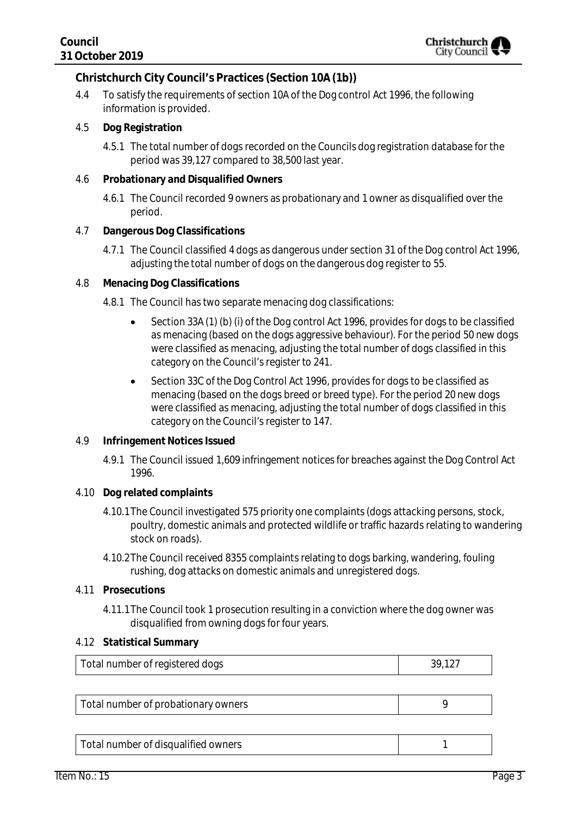#### **Christchurch City Council's Practices (Section 10A (1b))**

- 4.4 To satisfy the requirements of section 10A of the Dog control Act 1996, the following information is provided.
- 4.5 **Dog Registration**
	- 4.5.1 The total number of dogs recorded on the Councils dog registration database for the period was 39,127 compared to 38,500 last year.
- 4.6 **Probationary and Disqualified Owners**
	- 4.6.1 The Council recorded 9 owners as probationary and 1 owner as disqualified over the period.
- 4.7 **Dangerous Dog Classifications**
	- 4.7.1 The Council classified 4 dogs as dangerous under section 31 of the Dog control Act 1996, adjusting the total number of dogs on the dangerous dog register to 55.
- 4.8 **Menacing Dog Classifications**
	- 4.8.1 The Council has two separate menacing dog classifications:
		- Section 33A (1) (b) (i) of the Dog control Act 1996, provides for dogs to be classified as menacing (based on the dogs aggressive behaviour). For the period 50 new dogs were classified as menacing, adjusting the total number of dogs classified in this category on the Council's register to 241.
		- Section 33C of the Dog Control Act 1996, provides for dogs to be classified as menacing (based on the dogs breed or breed type). For the period 20 new dogs were classified as menacing, adjusting the total number of dogs classified in this category on the Council's register to 147.
- 4.9 **Infringement Notices Issued**
	- 4.9.1 The Council issued 1,609 infringement notices for breaches against the Dog Control Act 1996.
- 4.10 **Dog related complaints**
	- 4.10.1The Council investigated 575 priority one complaints (dogs attacking persons, stock, poultry, domestic animals and protected wildlife or traffic hazards relating to wandering stock on roads).
	- 4.10.2The Council received 8355 complaints relating to dogs barking, wandering, fouling rushing, dog attacks on domestic animals and unregistered dogs.

#### 4.11 **Prosecutions**

4.11.1The Council took 1 prosecution resulting in a conviction where the dog owner was disqualified from owning dogs for four years.

#### 4.12 **Statistical Summary**

| Total number of registered dogs | 39,127 |
|---------------------------------|--------|
|---------------------------------|--------|

| Total number of probationary owners |  |
|-------------------------------------|--|
|-------------------------------------|--|

Total number of disqualified owners 1